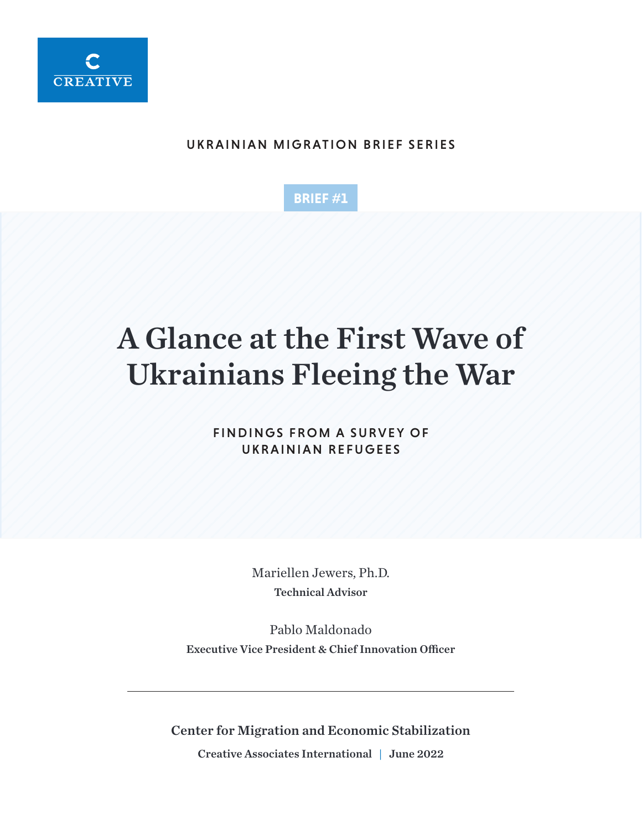

# UKRAINIAN MIGRATION BRIEF SERIES



# A Glance at the First Wave of Ukrainians Fleeing the War

**FINDINGS FROM A SURVEY OF** UKRAINIAN REFUGEES

> Mariellen Jewers, Ph.D. Technical Advisor

Pablo Maldonado Executive Vice President & Chief Innovation Officer

Center for Migration and Economic Stabilization

Creative Associates International | June 2022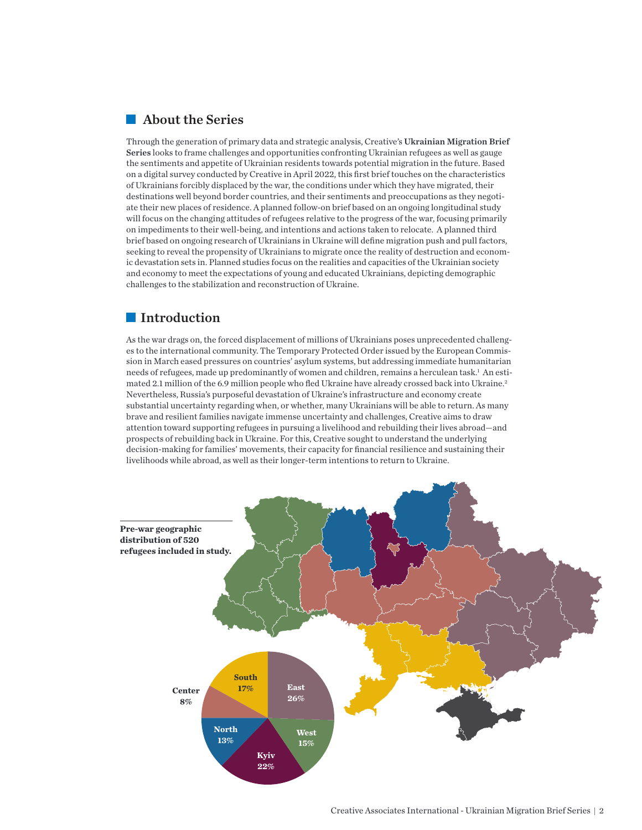#### **About the Series**

Through the generation of primary data and strategic analysis, Creative's Ukrainian Migration Brief Series looks to frame challenges and opportunities confronting Ukrainian refugees as well as gauge the sentiments and appetite of Ukrainian residents towards potential migration in the future. Based on a digital survey conducted by Creative in April 2022, this first brief touches on the characteristics of Ukrainians forcibly displaced by the war, the conditions under which they have migrated, their destinations well beyond border countries, and their sentiments and preoccupations as they negotiate their new places of residence. A planned follow-on brief based on an ongoing longitudinal study will focus on the changing attitudes of refugees relative to the progress of the war, focusing primarily on impediments to their well-being, and intentions and actions taken to relocate. A planned third brief based on ongoing research of Ukrainians in Ukraine will define migration push and pull factors, seeking to reveal the propensity of Ukrainians to migrate once the reality of destruction and economic devastation sets in. Planned studies focus on the realities and capacities of the Ukrainian society and economy to meet the expectations of young and educated Ukrainians, depicting demographic challenges to the stabilization and reconstruction of Ukraine.

#### **Introduction**

As the war drags on, the forced displacement of millions of Ukrainians poses unprecedented challenges to the international community. The Temporary Protected Order issued by the European Commission in March eased pressures on countries' asylum systems, but addressing immediate humanitarian needs of refugees, made up predominantly of women and children, remains a herculean task.<sup>1</sup> An estimated 2.1 million of the 6.9 million people who fled Ukraine have already crossed back into Ukraine.<sup>2</sup> Nevertheless, Russia's purposeful devastation of Ukraine's infrastructure and economy create substantial uncertainty regarding when, or whether, many Ukrainians will be able to return. As many brave and resilient families navigate immense uncertainty and challenges, Creative aims to draw attention toward supporting refugees in pursuing a livelihood and rebuilding their lives abroad—and prospects of rebuilding back in Ukraine. For this, Creative sought to understand the underlying decision-making for families' movements, their capacity for financial resilience and sustaining their livelihoods while abroad, as well as their longer-term intentions to return to Ukraine.

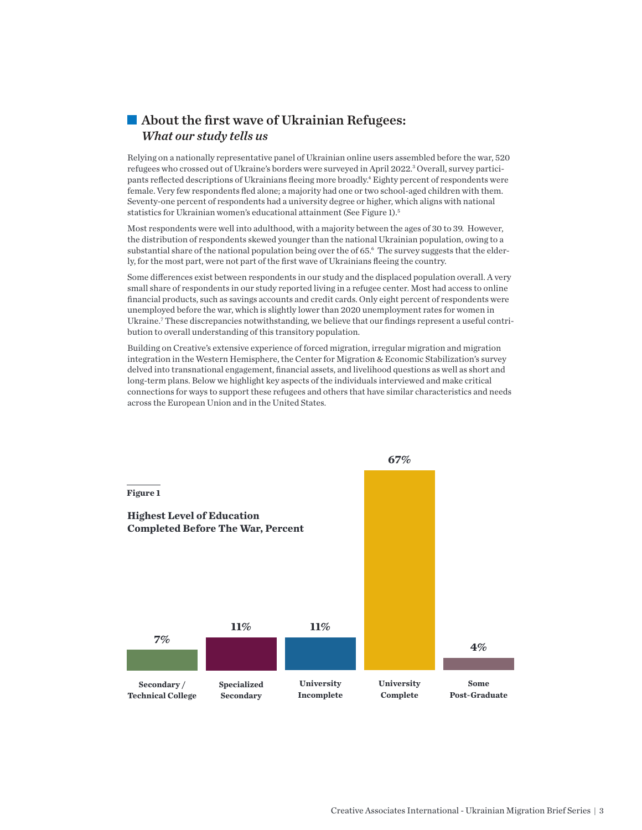# **About the first wave of Ukrainian Refugees:** *What our study tells us*

Relying on a nationally representative panel of Ukrainian online users assembled before the war, 520 refugees who crossed out of Ukraine's borders were surveyed in April 2022.<sup>3</sup> Overall, survey participants reflected descriptions of Ukrainians fleeing more broadly.<sup>4</sup> Eighty percent of respondents were female. Very few respondents fled alone; a majority had one or two school-aged children with them. Seventy-one percent of respondents had a university degree or higher, which aligns with national statistics for Ukrainian women's educational attainment (See Figure 1).<sup>5</sup>

Most respondents were well into adulthood, with a majority between the ages of 30 to 39. However, the distribution of respondents skewed younger than the national Ukrainian population, owing to a substantial share of the national population being over the of 65.<sup>6</sup> The survey suggests that the elderly, for the most part, were not part of the first wave of Ukrainians fleeing the country.

Some differences exist between respondents in our study and the displaced population overall. A very small share of respondents in our study reported living in a refugee center. Most had access to online financial products, such as savings accounts and credit cards. Only eight percent of respondents were unemployed before the war, which is slightly lower than 2020 unemployment rates for women in Ukraine.<sup>7</sup> These discrepancies notwithstanding, we believe that our findings represent a useful contribution to overall understanding of this transitory population.

Building on Creative's extensive experience of forced migration, irregular migration and migration integration in the Western Hemisphere, the Center for Migration & Economic Stabilization's survey delved into transnational engagement, financial assets, and livelihood questions as well as short and long-term plans. Below we highlight key aspects of the individuals interviewed and make critical connections for ways to support these refugees and others that have similar characteristics and needs across the European Union and in the United States.

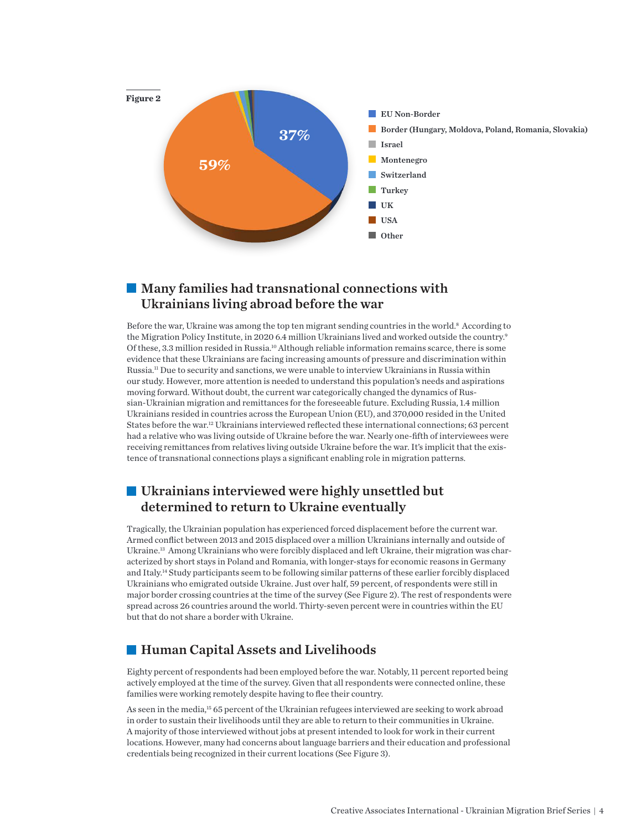

# **Many families had transnational connections with** Ukrainians living abroad before the war

Before the war, Ukraine was among the top ten migrant sending countries in the world.<sup>8</sup> According to the Migration Policy Institute, in 2020 6.4 million Ukrainians lived and worked outside the country.<sup>9</sup> Of these, 3.3 million resided in Russia.<sup>10</sup> Although reliable information remains scarce, there is some evidence that these Ukrainians are facing increasing amounts of pressure and discrimination within Russia.<sup>11</sup> Due to security and sanctions, we were unable to interview Ukrainians in Russia within our study. However, more attention is needed to understand this population's needs and aspirations moving forward. Without doubt, the current war categorically changed the dynamics of Russian-Ukrainian migration and remittances for the foreseeable future. Excluding Russia, 1.4 million Ukrainians resided in countries across the European Union (EU), and 370,000 resided in the United States before the war.<sup>12</sup> Ukrainians interviewed reflected these international connections; 63 percent had a relative who was living outside of Ukraine before the war. Nearly one-fifth of interviewees were receiving remittances from relatives living outside Ukraine before the war. It's implicit that the existence of transnational connections plays a significant enabling role in migration patterns.

## Ukrainians interviewed were highly unsettled but determined to return to Ukraine eventually

Tragically, the Ukrainian population has experienced forced displacement before the current war. Armed conflict between 2013 and 2015 displaced over a million Ukrainians internally and outside of Ukraine.13 Among Ukrainians who were forcibly displaced and left Ukraine, their migration was characterized by short stays in Poland and Romania, with longer-stays for economic reasons in Germany and Italy.<sup>14</sup> Study participants seem to be following similar patterns of these earlier forcibly displaced Ukrainians who emigrated outside Ukraine. Just over half, 59 percent, of respondents were still in major border crossing countries at the time of the survey (See Figure 2). The rest of respondents were spread across 26 countries around the world. Thirty-seven percent were in countries within the EU but that do not share a border with Ukraine.

## **Human Capital Assets and Livelihoods**

Eighty percent of respondents had been employed before the war. Notably, 11 percent reported being actively employed at the time of the survey. Given that all respondents were connected online, these families were working remotely despite having to flee their country.

As seen in the media,<sup>15</sup> 65 percent of the Ukrainian refugees interviewed are seeking to work abroad in order to sustain their livelihoods until they are able to return to their communities in Ukraine. A majority of those interviewed without jobs at present intended to look for work in their current locations. However, many had concerns about language barriers and their education and professional credentials being recognized in their current locations (See Figure 3).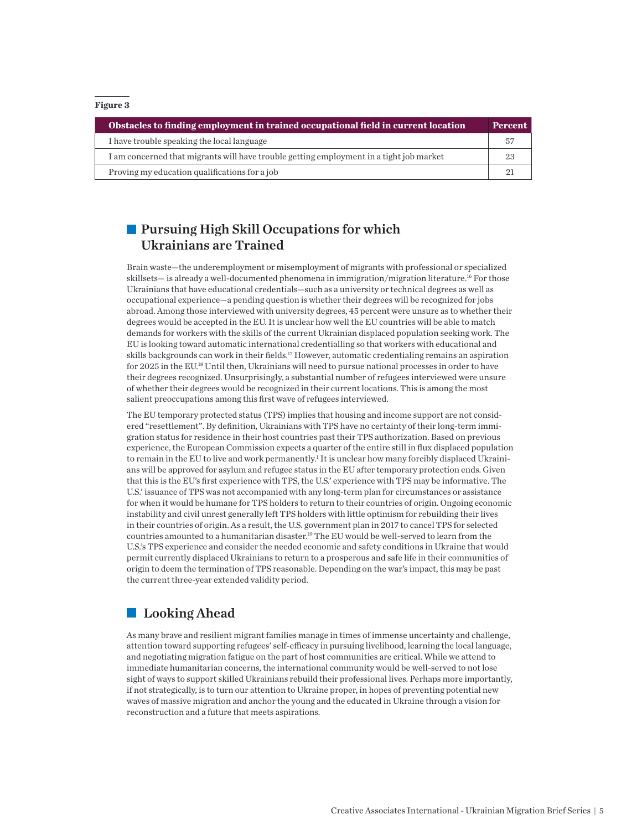#### **Figure 3**

| Obstacles to finding employment in trained occupational field in current location       | <b>Percent</b> |
|-----------------------------------------------------------------------------------------|----------------|
| I have trouble speaking the local language                                              |                |
| I am concerned that migrants will have trouble getting employment in a tight job market | 23             |
| Proving my education qualifications for a job                                           |                |

#### **Pursuing High Skill Occupations for which** Ukrainians are Trained

Brain waste—the underemployment or misemployment of migrants with professional or specialized skillsets— is already a well-documented phenomena in immigration/migration literature.<sup>16</sup> For those Ukrainians that have educational credentials—such as a university or technical degrees as well as occupational experience—a pending question is whether their degrees will be recognized for jobs abroad. Among those interviewed with university degrees, 45 percent were unsure as to whether their degrees would be accepted in the EU. It is unclear how well the EU countries will be able to match demands for workers with the skills of the current Ukrainian displaced population seeking work. The EU is looking toward automatic international credentialling so that workers with educational and skills backgrounds can work in their fields.<sup>17</sup> However, automatic credentialing remains an aspiration for 2025 in the EU.<sup>18</sup> Until then, Ukrainians will need to pursue national processes in order to have their degrees recognized. Unsurprisingly, a substantial number of refugees interviewed were unsure of whether their degrees would be recognized in their current locations. This is among the most salient preoccupations among this first wave of refugees interviewed.

The EU temporary protected status (TPS) implies that housing and income support are not considered "resettlement". By definition, Ukrainians with TPS have no certainty of their long-term immigration status for residence in their host countries past their TPS authorization. Based on previous experience, the European Commission expects a quarter of the entire still in flux displaced population to remain in the EU to live and work permanently.<sup>1</sup> It is unclear how many forcibly displaced Ukrainians will be approved for asylum and refugee status in the EU after temporary protection ends. Given that this is the EU's first experience with TPS, the U.S.' experience with TPS may be informative. The U.S.' issuance of TPS was not accompanied with any long-term plan for circumstances or assistance for when it would be humane for TPS holders to return to their countries of origin. Ongoing economic instability and civil unrest generally left TPS holders with little optimism for rebuilding their lives in their countries of origin. As a result, the U.S. government plan in 2017 to cancel TPS for selected countries amounted to a humanitarian disaster.<sup>19</sup> The EU would be well-served to learn from the U.S.'s TPS experience and consider the needed economic and safety conditions in Ukraine that would permit currently displaced Ukrainians to return to a prosperous and safe life in their communities of origin to deem the termination of TPS reasonable. Depending on the war's impact, this may be past the current three-year extended validity period.

#### **Looking Ahead**

As many brave and resilient migrant families manage in times of immense uncertainty and challenge, attention toward supporting refugees' self-efficacy in pursuing livelihood, learning the local language, and negotiating migration fatigue on the part of host communities are critical. While we attend to immediate humanitarian concerns, the international community would be well-served to not lose sight of ways to support skilled Ukrainians rebuild their professional lives. Perhaps more importantly, if not strategically, is to turn our attention to Ukraine proper, in hopes of preventing potential new waves of massive migration and anchor the young and the educated in Ukraine through a vision for reconstruction and a future that meets aspirations.